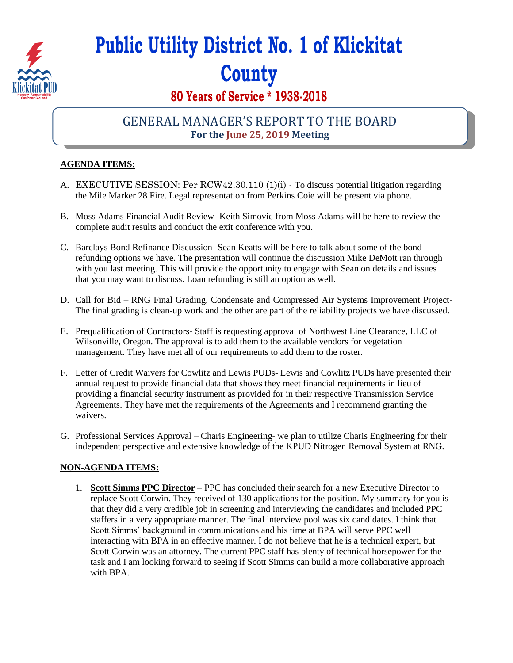

# **Public Utility District No. 1 of Klickitat County**

# **80 Years of Service \* 1938-2018**

## GENERAL MANAGER'S REPORT TO THE BOARD **For the June 25, 2019 Meeting**

#### **AGENDA ITEMS:**

- A. EXECUTIVE SESSION: Per RCW42.30.110 (1)(i) To discuss potential litigation regarding the Mile Marker 28 Fire. Legal representation from Perkins Coie will be present via phone.
- B. Moss Adams Financial Audit Review- Keith Simovic from Moss Adams will be here to review the complete audit results and conduct the exit conference with you.
- C. Barclays Bond Refinance Discussion- Sean Keatts will be here to talk about some of the bond refunding options we have. The presentation will continue the discussion Mike DeMott ran through with you last meeting. This will provide the opportunity to engage with Sean on details and issues that you may want to discuss. Loan refunding is still an option as well.
- D. Call for Bid RNG Final Grading, Condensate and Compressed Air Systems Improvement Project-The final grading is clean-up work and the other are part of the reliability projects we have discussed.
- E. Prequalification of Contractors- Staff is requesting approval of Northwest Line Clearance, LLC of Wilsonville, Oregon. The approval is to add them to the available vendors for vegetation management. They have met all of our requirements to add them to the roster.
- F. Letter of Credit Waivers for Cowlitz and Lewis PUDs- Lewis and Cowlitz PUDs have presented their annual request to provide financial data that shows they meet financial requirements in lieu of providing a financial security instrument as provided for in their respective Transmission Service Agreements. They have met the requirements of the Agreements and I recommend granting the waivers.
- G. Professional Services Approval Charis Engineering- we plan to utilize Charis Engineering for their independent perspective and extensive knowledge of the KPUD Nitrogen Removal System at RNG.

### **NON-AGENDA ITEMS:**

1. **Scott Simms PPC Director** – PPC has concluded their search for a new Executive Director to replace Scott Corwin. They received of 130 applications for the position. My summary for you is that they did a very credible job in screening and interviewing the candidates and included PPC staffers in a very appropriate manner. The final interview pool was six candidates. I think that Scott Simms' background in communications and his time at BPA will serve PPC well interacting with BPA in an effective manner. I do not believe that he is a technical expert, but Scott Corwin was an attorney. The current PPC staff has plenty of technical horsepower for the task and I am looking forward to seeing if Scott Simms can build a more collaborative approach with BPA.